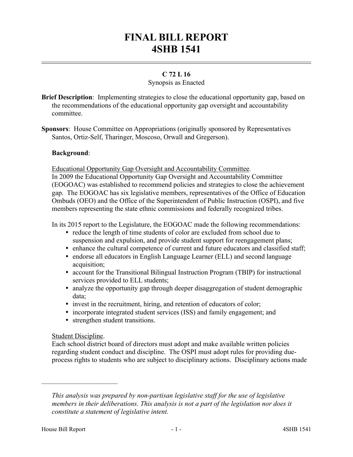# **FINAL BILL REPORT 4SHB 1541**

# **C 72 L 16**

## Synopsis as Enacted

- **Brief Description**: Implementing strategies to close the educational opportunity gap, based on the recommendations of the educational opportunity gap oversight and accountability committee.
- **Sponsors**: House Committee on Appropriations (originally sponsored by Representatives Santos, Ortiz-Self, Tharinger, Moscoso, Orwall and Gregerson).

## **Background**:

Educational Opportunity Gap Oversight and Accountability Committee*.*

In 2009 the Educational Opportunity Gap Oversight and Accountability Committee (EOGOAC) was established to recommend policies and strategies to close the achievement gap. The EOGOAC has six legislative members, representatives of the Office of Education Ombuds (OEO) and the Office of the Superintendent of Public Instruction (OSPI), and five members representing the state ethnic commissions and federally recognized tribes.

In its 2015 report to the Legislature, the EOGOAC made the following recommendations:

- reduce the length of time students of color are excluded from school due to suspension and expulsion, and provide student support for reengagement plans;
- enhance the cultural competence of current and future educators and classified staff;
- endorse all educators in English Language Learner (ELL) and second language acquisition;
- account for the Transitional Bilingual Instruction Program (TBIP) for instructional services provided to ELL students;
- analyze the opportunity gap through deeper disaggregation of student demographic data;
- invest in the recruitment, hiring, and retention of educators of color;
- incorporate integrated student services (ISS) and family engagement; and
- strengthen student transitions.

#### Student Discipline.

––––––––––––––––––––––

Each school district board of directors must adopt and make available written policies regarding student conduct and discipline. The OSPI must adopt rules for providing dueprocess rights to students who are subject to disciplinary actions. Disciplinary actions made

*This analysis was prepared by non-partisan legislative staff for the use of legislative members in their deliberations. This analysis is not a part of the legislation nor does it constitute a statement of legislative intent.*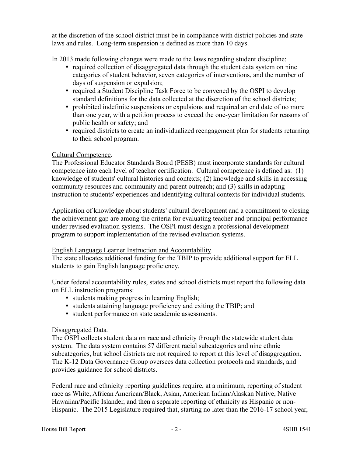at the discretion of the school district must be in compliance with district policies and state laws and rules. Long-term suspension is defined as more than 10 days.

In 2013 made following changes were made to the laws regarding student discipline:

- required collection of disaggregated data through the student data system on nine categories of student behavior, seven categories of interventions, and the number of days of suspension or expulsion;
- required a Student Discipline Task Force to be convened by the OSPI to develop standard definitions for the data collected at the discretion of the school districts;
- prohibited indefinite suspensions or expulsions and required an end date of no more than one year, with a petition process to exceed the one-year limitation for reasons of public health or safety; and
- required districts to create an individualized reengagement plan for students returning to their school program.

# Cultural Competence.

The Professional Educator Standards Board (PESB) must incorporate standards for cultural competence into each level of teacher certification. Cultural competence is defined as: (1) knowledge of students' cultural histories and contexts; (2) knowledge and skills in accessing community resources and community and parent outreach; and (3) skills in adapting instruction to students' experiences and identifying cultural contexts for individual students.

Application of knowledge about students' cultural development and a commitment to closing the achievement gap are among the criteria for evaluating teacher and principal performance under revised evaluation systems. The OSPI must design a professional development program to support implementation of the revised evaluation systems.

# English Language Learner Instruction and Accountability.

The state allocates additional funding for the TBIP to provide additional support for ELL students to gain English language proficiency.

Under federal accountability rules, states and school districts must report the following data on ELL instruction programs:

- students making progress in learning English;
- students attaining language proficiency and exiting the TBIP; and
- student performance on state academic assessments.

# Disaggregated Data*.*

The OSPI collects student data on race and ethnicity through the statewide student data system. The data system contains 57 different racial subcategories and nine ethnic subcategories, but school districts are not required to report at this level of disaggregation. The K-12 Data Governance Group oversees data collection protocols and standards, and provides guidance for school districts.

Federal race and ethnicity reporting guidelines require, at a minimum, reporting of student race as White, African American/Black, Asian, American Indian/Alaskan Native, Native Hawaiian/Pacific Islander, and then a separate reporting of ethnicity as Hispanic or non-Hispanic. The 2015 Legislature required that, starting no later than the 2016-17 school year,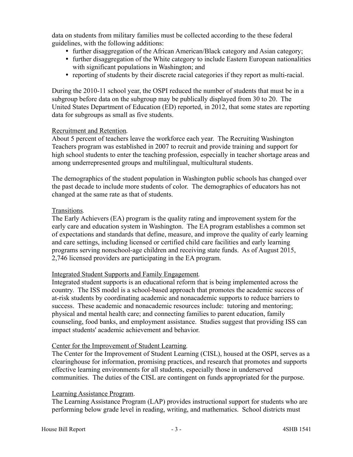data on students from military families must be collected according to the these federal guidelines, with the following additions:

- further disaggregation of the African American/Black category and Asian category;
- further disaggregation of the White category to include Eastern European nationalities with significant populations in Washington; and
- reporting of students by their discrete racial categories if they report as multi-racial.

During the 2010-11 school year, the OSPI reduced the number of students that must be in a subgroup before data on the subgroup may be publically displayed from 30 to 20. The United States Department of Education (ED) reported, in 2012, that some states are reporting data for subgroups as small as five students.

#### Recruitment and Retention*.*

About 5 percent of teachers leave the workforce each year. The Recruiting Washington Teachers program was established in 2007 to recruit and provide training and support for high school students to enter the teaching profession, especially in teacher shortage areas and among underrepresented groups and multilingual, multicultural students.

The demographics of the student population in Washington public schools has changed over the past decade to include more students of color. The demographics of educators has not changed at the same rate as that of students.

## Transitions*.*

The Early Achievers (EA) program is the quality rating and improvement system for the early care and education system in Washington. The EA program establishes a common set of expectations and standards that define, measure, and improve the quality of early learning and care settings, including licensed or certified child care facilities and early learning programs serving nonschool-age children and receiving state funds. As of August 2015, 2,746 licensed providers are participating in the EA program.

# Integrated Student Supports and Family Engagement*.*

Integrated student supports is an educational reform that is being implemented across the country. The ISS model is a school-based approach that promotes the academic success of at-risk students by coordinating academic and nonacademic supports to reduce barriers to success. These academic and nonacademic resources include: tutoring and mentoring; physical and mental health care; and connecting families to parent education, family counseling, food banks, and employment assistance. Studies suggest that providing ISS can impact students' academic achievement and behavior.

#### Center for the Improvement of Student Learning*.*

The Center for the Improvement of Student Learning (CISL), housed at the OSPI, serves as a clearinghouse for information, promising practices, and research that promotes and supports effective learning environments for all students, especially those in underserved communities. The duties of the CISL are contingent on funds appropriated for the purpose.

#### Learning Assistance Program.

The Learning Assistance Program (LAP) provides instructional support for students who are performing below grade level in reading, writing, and mathematics. School districts must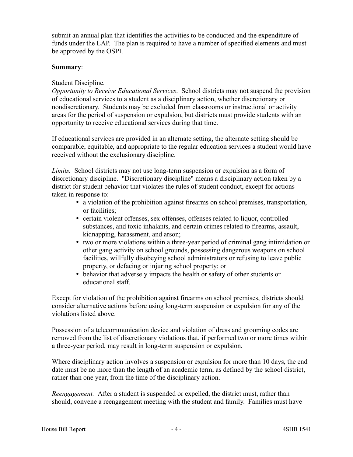submit an annual plan that identifies the activities to be conducted and the expenditure of funds under the LAP. The plan is required to have a number of specified elements and must be approved by the OSPI.

## **Summary**:

## Student Discipline*.*

*Opportunity to Receive Educational Services*. School districts may not suspend the provision of educational services to a student as a disciplinary action, whether discretionary or nondiscretionary. Students may be excluded from classrooms or instructional or activity areas for the period of suspension or expulsion, but districts must provide students with an opportunity to receive educational services during that time.

If educational services are provided in an alternate setting, the alternate setting should be comparable, equitable, and appropriate to the regular education services a student would have received without the exclusionary discipline.

*Limits.* School districts may not use long-term suspension or expulsion as a form of discretionary discipline. "Discretionary discipline" means a disciplinary action taken by a district for student behavior that violates the rules of student conduct, except for actions taken in response to:

- a violation of the prohibition against firearms on school premises, transportation, or facilities;
- certain violent offenses, sex offenses, offenses related to liquor, controlled substances, and toxic inhalants, and certain crimes related to firearms, assault, kidnapping, harassment, and arson;
- two or more violations within a three-year period of criminal gang intimidation or other gang activity on school grounds, possessing dangerous weapons on school facilities, willfully disobeying school administrators or refusing to leave public property, or defacing or injuring school property; or
- behavior that adversely impacts the health or safety of other students or educational staff.

Except for violation of the prohibition against firearms on school premises, districts should consider alternative actions before using long-term suspension or expulsion for any of the violations listed above.

Possession of a telecommunication device and violation of dress and grooming codes are removed from the list of discretionary violations that, if performed two or more times within a three-year period, may result in long-term suspension or expulsion.

Where disciplinary action involves a suspension or expulsion for more than 10 days, the end date must be no more than the length of an academic term, as defined by the school district, rather than one year, from the time of the disciplinary action.

*Reengagement.* After a student is suspended or expelled, the district must, rather than should, convene a reengagement meeting with the student and family. Families must have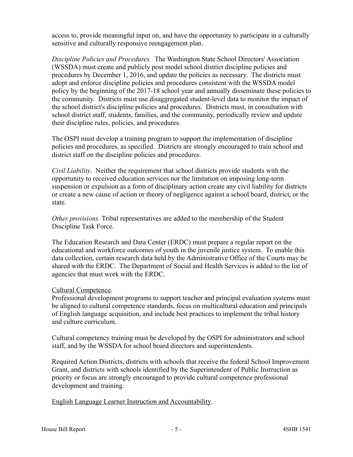access to, provide meaningful input on, and have the opportunity to participate in a culturally sensitive and culturally responsive reengagement plan.

*Discipline Policies and Procedures.* The Washington State School Directors' Association (WSSDA) must create and publicly post model school district discipline policies and procedures by December 1, 2016, and update the policies as necessary. The districts must adopt and enforce discipline policies and procedures consistent with the WSSDA model policy by the beginning of the 2017-18 school year and annually disseminate these policies to the community. Districts must use disaggregated student-level data to monitor the impact of the school district's discipline policies and procedures. Districts must, in consultation with school district staff, students, families, and the community, periodically review and update their discipline rules, policies, and procedures.

The OSPI must develop a training program to support the implementation of discipline policies and procedures, as specified. Districts are strongly encouraged to train school and district staff on the discipline policies and procedures.

*Civil Liability*. Neither the requirement that school districts provide students with the opportunity to received education services nor the limitation on imposing long-term suspension or expulsion as a form of disciplinary action create any civil liability for districts or create a new cause of action or theory of negligence against a school board, district, or the state.

*Other provisions.* Tribal representatives are added to the membership of the Student Discipline Task Force.

The Education Research and Data Center (ERDC) must prepare a regular report on the educational and workforce outcomes of youth in the juvenile justice system. To enable this data collection, certain research data held by the Administrative Office of the Courts may be shared with the ERDC. The Department of Social and Health Services is added to the list of agencies that must work with the ERDC.

# Cultural Competence.

Professional development programs to support teacher and principal evaluation systems must be aligned to cultural competence standards, focus on multicultural education and principals of English language acquisition, and include best practices to implement the tribal history and culture curriculum.

Cultural competency training must be developed by the OSPI for administrators and school staff, and by the WSSDA for school board directors and superintendents.

Required Action Districts, districts with schools that receive the federal School Improvement Grant, and districts with schools identified by the Superintendent of Public Instruction as priority or focus are strongly encouraged to provide cultural competence professional development and training.

English Language Learner Instruction and Accountability.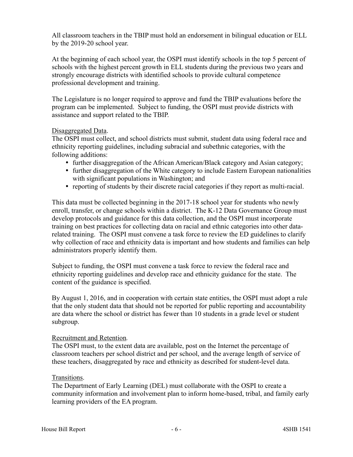All classroom teachers in the TBIP must hold an endorsement in bilingual education or ELL by the 2019-20 school year.

At the beginning of each school year, the OSPI must identify schools in the top 5 percent of schools with the highest percent growth in ELL students during the previous two years and strongly encourage districts with identified schools to provide cultural competence professional development and training.

The Legislature is no longer required to approve and fund the TBIP evaluations before the program can be implemented. Subject to funding, the OSPI must provide districts with assistance and support related to the TBIP.

## Disaggregated Data.

The OSPI must collect, and school districts must submit, student data using federal race and ethnicity reporting guidelines, including subracial and subethnic categories, with the following additions:

- further disaggregation of the African American/Black category and Asian category;
- further disaggregation of the White category to include Eastern European nationalities with significant populations in Washington; and
- reporting of students by their discrete racial categories if they report as multi-racial.

This data must be collected beginning in the 2017-18 school year for students who newly enroll, transfer, or change schools within a district. The K-12 Data Governance Group must develop protocols and guidance for this data collection, and the OSPI must incorporate training on best practices for collecting data on racial and ethnic categories into other datarelated training. The OSPI must convene a task force to review the ED guidelines to clarify why collection of race and ethnicity data is important and how students and families can help administrators properly identify them.

Subject to funding, the OSPI must convene a task force to review the federal race and ethnicity reporting guidelines and develop race and ethnicity guidance for the state. The content of the guidance is specified.

By August 1, 2016, and in cooperation with certain state entities, the OSPI must adopt a rule that the only student data that should not be reported for public reporting and accountability are data where the school or district has fewer than 10 students in a grade level or student subgroup.

#### Recruitment and Retention*.*

The OSPI must, to the extent data are available, post on the Internet the percentage of classroom teachers per school district and per school, and the average length of service of these teachers, disaggregated by race and ethnicity as described for student-level data.

#### Transitions.

The Department of Early Learning (DEL) must collaborate with the OSPI to create a community information and involvement plan to inform home-based, tribal, and family early learning providers of the EA program.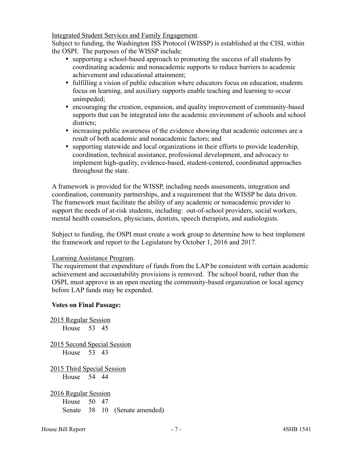Integrated Student Services and Family Engagement.

Subject to funding, the Washington ISS Protocol (WISSP) is established at the CISL within the OSPI. The purposes of the WISSP include:

- supporting a school-based approach to promoting the success of all students by coordinating academic and nonacademic supports to reduce barriers to academic achievement and educational attainment;
- fulfilling a vision of public education where educators focus on education, students focus on learning, and auxiliary supports enable teaching and learning to occur unimpeded;
- encouraging the creation, expansion, and quality improvement of community-based supports that can be integrated into the academic environment of schools and school districts;
- increasing public awareness of the evidence showing that academic outcomes are a result of both academic and nonacademic factors; and
- supporting statewide and local organizations in their efforts to provide leadership, coordination, technical assistance, professional development, and advocacy to implement high-quality, evidence-based, student-centered, coordinated approaches throughout the state.

A framework is provided for the WISSP, including needs assessments, integration and coordination, community partnerships, and a requirement that the WISSP be data driven. The framework must facilitate the ability of any academic or nonacademic provider to support the needs of at-risk students, including: out-of-school providers, social workers, mental health counselors, physicians, dentists, speech therapists, and audiologists.

Subject to funding, the OSPI must create a work group to determine how to best implement the framework and report to the Legislature by October 1, 2016 and 2017.

# Learning Assistance Program.

The requirement that expenditure of funds from the LAP be consistent with certain academic achievement and accountability provisions is removed. The school board, rather than the OSPI, must approve in an open meeting the community-based organization or local agency before LAP funds may be expended.

# **Votes on Final Passage:**

| 2015 Regular Session        |  |  |                               |
|-----------------------------|--|--|-------------------------------|
| House 53 45                 |  |  |                               |
| 2015 Second Special Session |  |  |                               |
| House 53 43                 |  |  |                               |
| 2015 Third Special Session  |  |  |                               |
| House 54 44                 |  |  |                               |
| 2016 Regular Session        |  |  |                               |
| House 50 47                 |  |  |                               |
|                             |  |  | Senate 38 10 (Senate amended) |
|                             |  |  |                               |